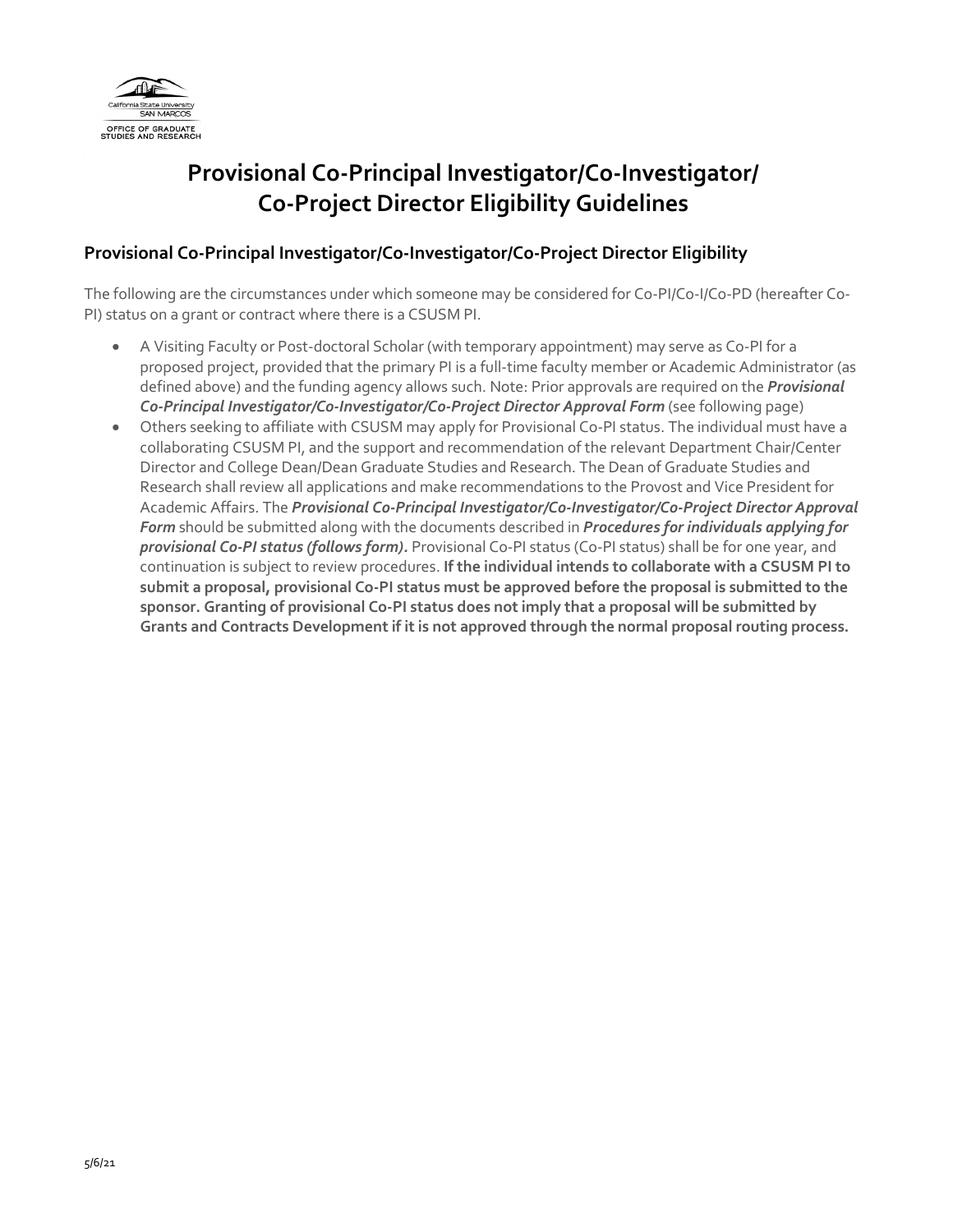

# **Provisional Co-Principal Investigator/Co-Investigator/ Co-Project Director Eligibility Guidelines**

### **Provisional Co-Principal Investigator/Co-Investigator/Co-Project Director Eligibility**

The following are the circumstances under which someone may be considered for Co-PI/Co-I/Co-PD (hereafter Co-PI) status on a grant or contract where there is a CSUSM PI.

- A Visiting Faculty or Post-doctoral Scholar (with temporary appointment) may serve as Co-PI for a proposed project, provided that the primary PI is a full-time faculty member or Academic Administrator (as defined above) and the funding agency allows such. Note: Prior approvals are required on the *Provisional Co-Principal Investigator/Co-Investigator/Co-Project Director Approval Form* (see following page)
- Others seeking to affiliate with CSUSM may apply for Provisional Co-PI status. The individual must have a collaborating CSUSM PI, and the support and recommendation of the relevant Department Chair/Center Director and College Dean/Dean Graduate Studies and Research. The Dean of Graduate Studies and Research shall review all applications and make recommendations to the Provost and Vice President for Academic Affairs. The *Provisional Co-Principal Investigator/Co-Investigator/Co-Project Director Approval Form* should be submitted along with the documents described in *Procedures for individuals applying for provisional Co-PI status (follows form).* Provisional Co-PI status (Co-PI status) shall be for one year, and continuation is subject to review procedures. **If the individual intends to collaborate with a CSUSM PI to submit a proposal, provisional Co-PI status must be approved before the proposal is submitted to the sponsor. Granting of provisional Co-PI status does not imply that a proposal will be submitted by Grants and Contracts Development if it is not approved through the normal proposal routing process.**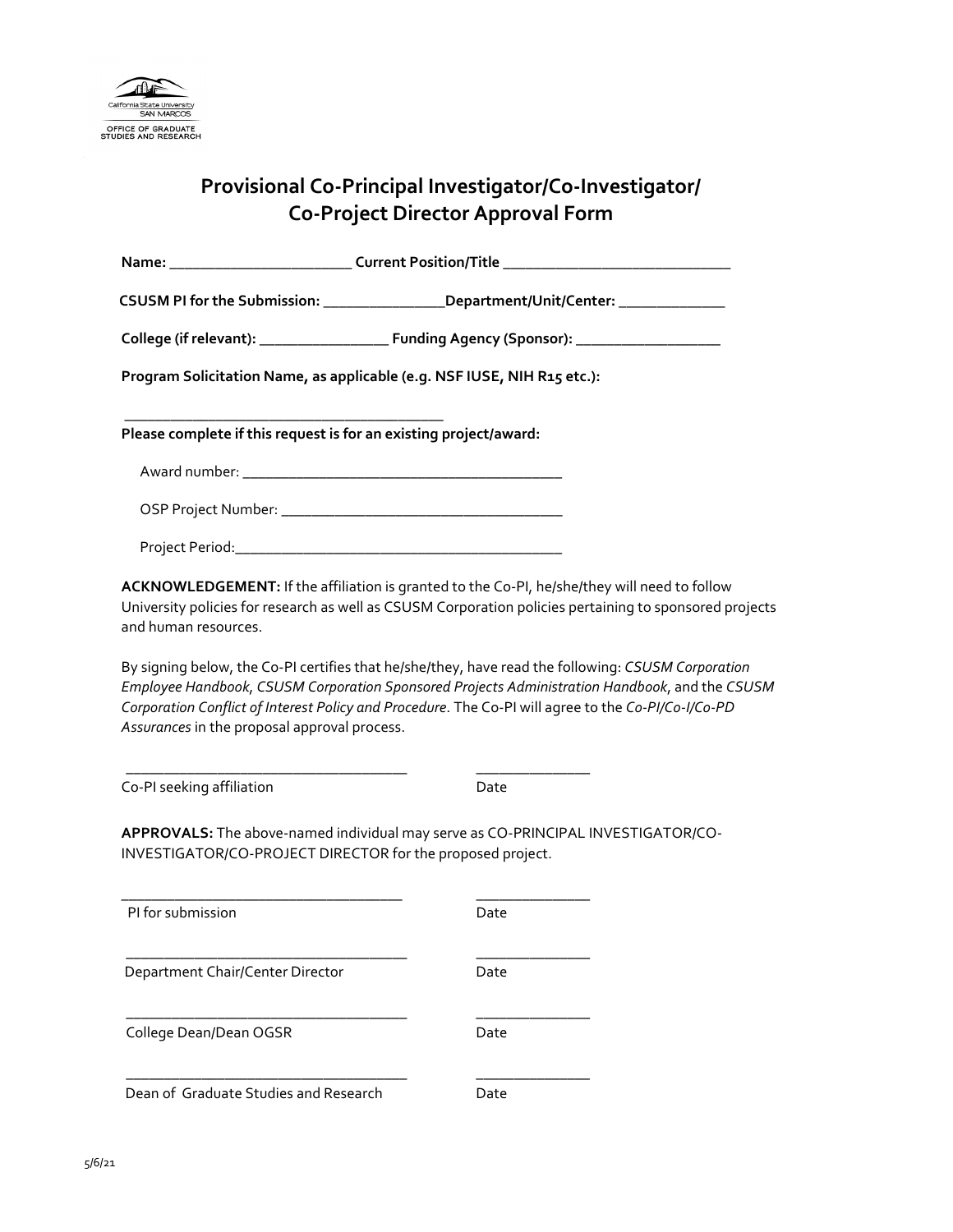

## **Provisional Co-Principal Investigator/Co-Investigator/ Co-Project Director Approval Form**

|                                                                         | CSUSM PI for the Submission: __________________Department/Unit/Center: __________                                                                                                                    |
|-------------------------------------------------------------------------|------------------------------------------------------------------------------------------------------------------------------------------------------------------------------------------------------|
|                                                                         |                                                                                                                                                                                                      |
| Program Solicitation Name, as applicable (e.g. NSF IUSE, NIH R15 etc.): |                                                                                                                                                                                                      |
| Please complete if this request is for an existing project/award:       |                                                                                                                                                                                                      |
|                                                                         |                                                                                                                                                                                                      |
|                                                                         |                                                                                                                                                                                                      |
|                                                                         |                                                                                                                                                                                                      |
| and human resources.                                                    |                                                                                                                                                                                                      |
|                                                                         | By signing below, the Co-PI certifies that he/she/they, have read the following: CSUSM Corporation<br>Employee Handbook, CSUSM Corporation Sponsored Projects Administration Handbook, and the CSUSM |
|                                                                         | Corporation Conflict of Interest Policy and Procedure. The Co-PI will agree to the Co-PI/Co-I/Co-PD                                                                                                  |
| Assurances in the proposal approval process.                            |                                                                                                                                                                                                      |
| Co-PI seeking affiliation                                               | Date                                                                                                                                                                                                 |
|                                                                         |                                                                                                                                                                                                      |
| INVESTIGATOR/CO-PROJECT DIRECTOR for the proposed project.              | APPROVALS: The above-named individual may serve as CO-PRINCIPAL INVESTIGATOR/CO-                                                                                                                     |
| PI for submission                                                       | Date                                                                                                                                                                                                 |
| Department Chair/Center Director                                        | Date                                                                                                                                                                                                 |
| College Dean/Dean OGSR                                                  | Date                                                                                                                                                                                                 |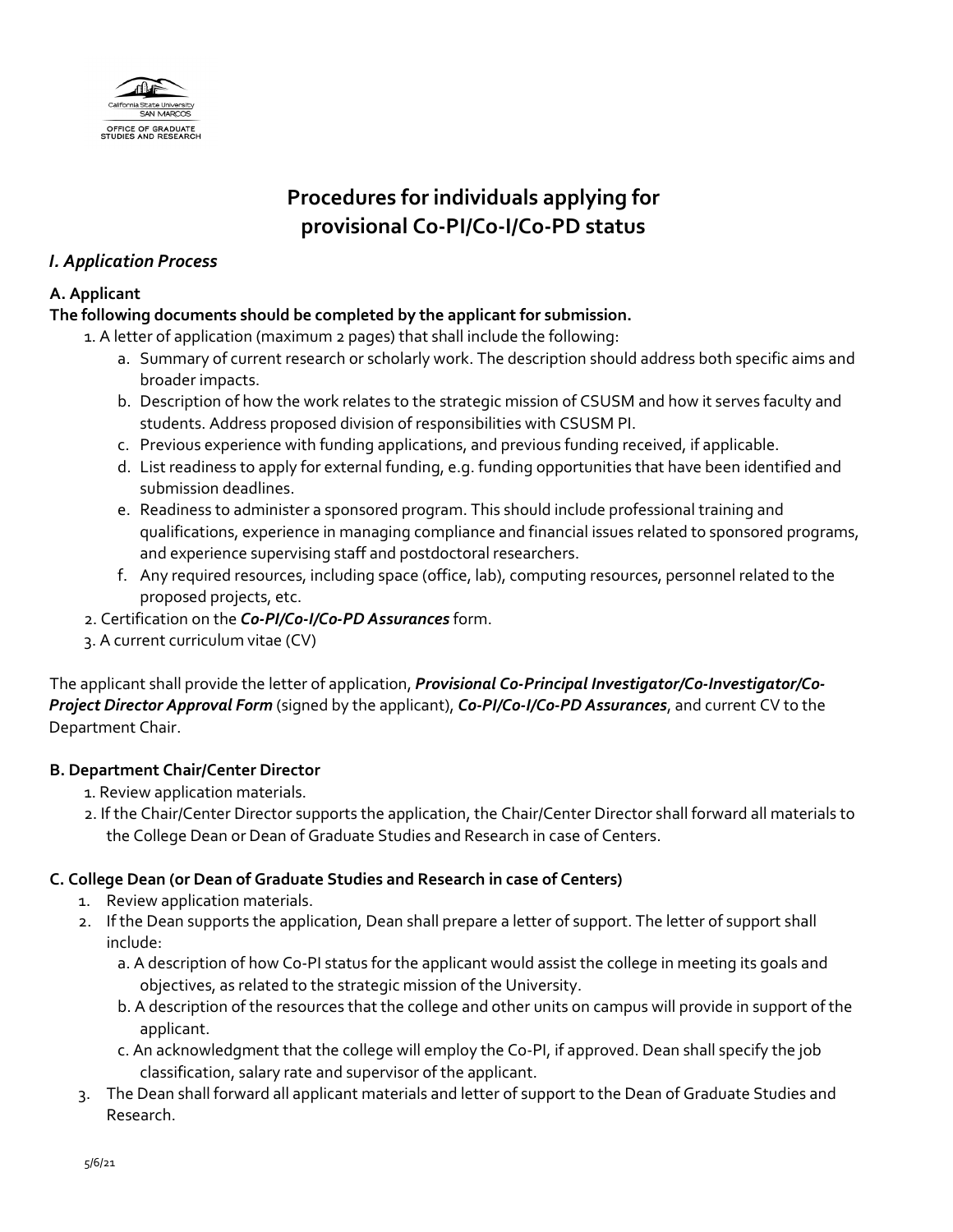

## **Procedures for individuals applying for provisional Co-PI/Co-I/Co-PD status**

## *I. Application Process*

#### **A. Applicant**

### **The following documents should be completed by the applicant for submission.**

1. A letter of application (maximum 2 pages) that shall include the following:

- a. Summary of current research or scholarly work. The description should address both specific aims and broader impacts.
- b. Description of how the work relates to the strategic mission of CSUSM and how it serves faculty and students. Address proposed division of responsibilities with CSUSM PI.
- c. Previous experience with funding applications, and previous funding received, if applicable.
- d. List readiness to apply for external funding, e.g. funding opportunities that have been identified and submission deadlines.
- e. Readiness to administer a sponsored program. This should include professional training and qualifications, experience in managing compliance and financial issues related to sponsored programs, and experience supervising staff and postdoctoral researchers.
- f. Any required resources, including space (office, lab), computing resources, personnel related to the proposed projects, etc.
- 2. Certification on the *Co-PI/Co-I/Co-PD Assurances* form.
- 3. A current curriculum vitae (CV)

The applicant shall provide the letter of application, *Provisional Co-Principal Investigator/Co-Investigator/Co-Project Director Approval Form* (signed by the applicant), *Co-PI/Co-I/Co-PD Assurances*, and current CV to the Department Chair.

#### **B. Department Chair/Center Director**

- 1. Review application materials.
- 2. If the Chair/Center Director supports the application, the Chair/Center Director shall forward all materials to the College Dean or Dean of Graduate Studies and Research in case of Centers.

#### **C. College Dean (or Dean of Graduate Studies and Research in case of Centers)**

- 1. Review application materials.
- 2. If the Dean supports the application, Dean shall prepare a letter of support. The letter of support shall include:
	- a. A description of how Co-PI status for the applicant would assist the college in meeting its goals and objectives, as related to the strategic mission of the University.
	- b. A description of the resources that the college and other units on campus will provide in support of the applicant.
	- c. An acknowledgment that the college will employ the Co-PI, if approved. Dean shall specify the job classification, salary rate and supervisor of the applicant.
- 3. The Dean shall forward all applicant materials and letter of support to the Dean of Graduate Studies and Research.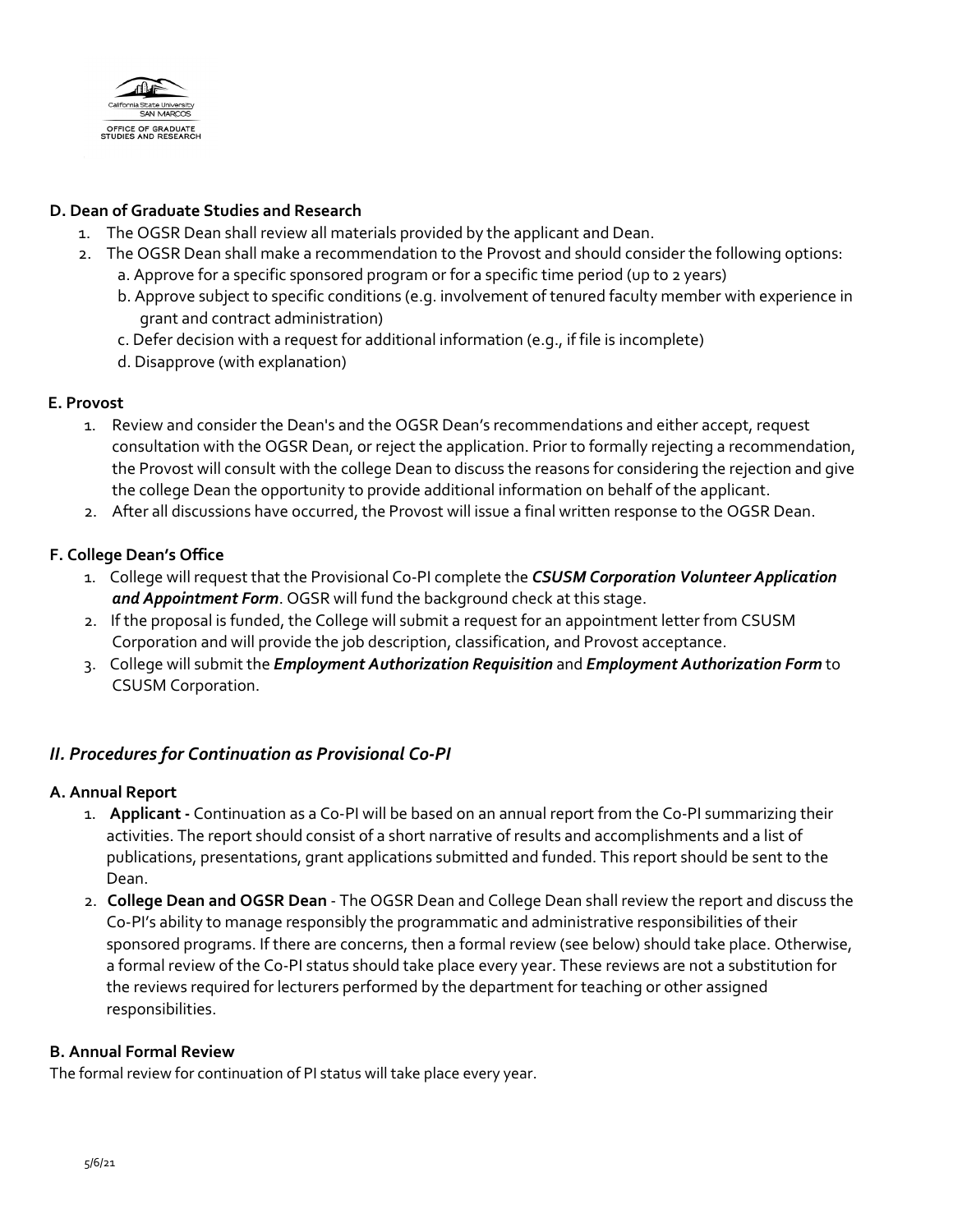

#### **D. Dean of Graduate Studies and Research**

- 1. The OGSR Dean shall review all materials provided by the applicant and Dean.
- 2. The OGSR Dean shall make a recommendation to the Provost and should consider the following options:
	- a. Approve for a specific sponsored program or for a specific time period (up to 2 years)
	- b. Approve subject to specific conditions (e.g. involvement of tenured faculty member with experience in grant and contract administration)
	- c. Defer decision with a request for additional information (e.g., if file is incomplete)
	- d. Disapprove (with explanation)

#### **E. Provost**

- 1. Review and consider the Dean's and the OGSR Dean's recommendations and either accept, request consultation with the OGSR Dean, or reject the application. Prior to formally rejecting a recommendation, the Provost will consult with the college Dean to discuss the reasons for considering the rejection and give the college Dean the opportunity to provide additional information on behalf of the applicant.
- 2. After all discussions have occurred, the Provost will issue a final written response to the OGSR Dean.

#### **F. College Dean's Office**

- 1. College will request that the Provisional Co-PI complete the *[CSUSM Corporation Volunteer Application](https://www.csusm.edu/corp/businesssrvcesandfinance/policies_proc_forms/forms_hrpr/volunteerapplication09_2018.pdf)  and [Appointment Form](https://www.csusm.edu/corp/businesssrvcesandfinance/policies_proc_forms/forms_hrpr/volunteerapplication09_2018.pdf)*. OGSR will fund the background check at this stage.
- 2. If the proposal is funded, the College will submit a request for an appointment letter from CSUSM Corporation and will provide the job description, classification, and Provost acceptance.
- 3. College will submit the *Employment Authorization Requisition* and *Employment Authorization Form* to CSUSM Corporation.

#### *II. Procedures for Continuation as Provisional Co-PI*

#### **A. Annual Report**

- 1. **Applicant -** Continuation as a Co-PI will be based on an annual report from the Co-PI summarizing their activities. The report should consist of a short narrative of results and accomplishments and a list of publications, presentations, grant applications submitted and funded. This report should be sent to the Dean.
- 2. **College Dean and OGSR Dean** The OGSR Dean and College Dean shall review the report and discuss the Co-PI's ability to manage responsibly the programmatic and administrative responsibilities of their sponsored programs. If there are concerns, then a formal review (see below) should take place. Otherwise, a formal review of the Co-PI status should take place every year. These reviews are not a substitution for the reviews required for lecturers performed by the department for teaching or other assigned responsibilities.

#### **B. Annual Formal Review**

The formal review for continuation of PI status will take place every year.